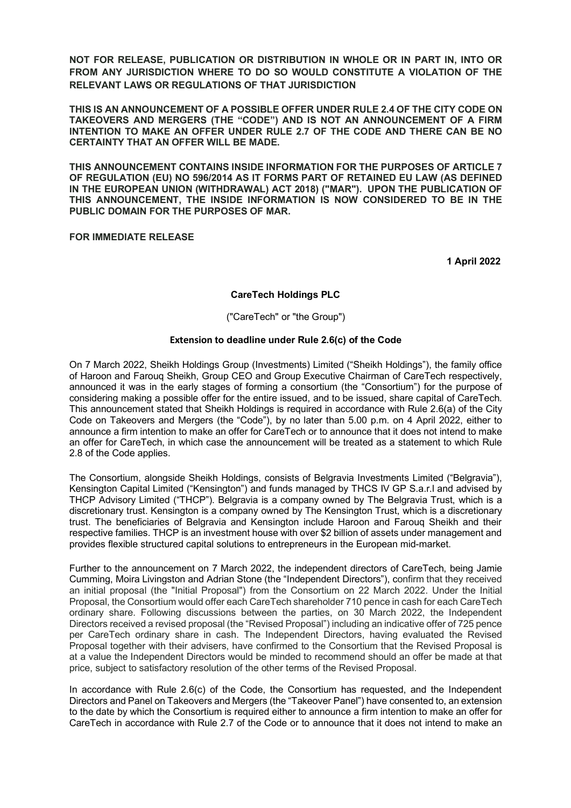**NOT FOR RELEASE, PUBLICATION OR DISTRIBUTION IN WHOLE OR IN PART IN, INTO OR FROM ANY JURISDICTION WHERE TO DO SO WOULD CONSTITUTE A VIOLATION OF THE RELEVANT LAWS OR REGULATIONS OF THAT JURISDICTION**

**THIS IS AN ANNOUNCEMENT OF A POSSIBLE OFFER UNDER RULE 2.4 OF THE CITY CODE ON TAKEOVERS AND MERGERS (THE "CODE") AND IS NOT AN ANNOUNCEMENT OF A FIRM INTENTION TO MAKE AN OFFER UNDER RULE 2.7 OF THE CODE AND THERE CAN BE NO CERTAINTY THAT AN OFFER WILL BE MADE.**

**THIS ANNOUNCEMENT CONTAINS INSIDE INFORMATION FOR THE PURPOSES OF ARTICLE 7 OF REGULATION (EU) NO 596/2014 AS IT FORMS PART OF RETAINED EU LAW (AS DEFINED IN THE EUROPEAN UNION (WITHDRAWAL) ACT 2018) ("MAR"). UPON THE PUBLICATION OF THIS ANNOUNCEMENT, THE INSIDE INFORMATION IS NOW CONSIDERED TO BE IN THE PUBLIC DOMAIN FOR THE PURPOSES OF MAR.**

# **FOR IMMEDIATE RELEASE**

**1 April 2022**

### **CareTech Holdings PLC**

("CareTech" or "the Group")

### **Extension to deadline under Rule 2.6(c) of the Code**

On 7 March 2022, Sheikh Holdings Group (Investments) Limited ("Sheikh Holdings"), the family office of Haroon and Farouq Sheikh, Group CEO and Group Executive Chairman of CareTech respectively, announced it was in the early stages of forming a consortium (the "Consortium") for the purpose of considering making a possible offer for the entire issued, and to be issued, share capital of CareTech. This announcement stated that Sheikh Holdings is required in accordance with Rule 2.6(a) of the City Code on Takeovers and Mergers (the "Code"), by no later than 5.00 p.m. on 4 April 2022, either to announce a firm intention to make an offer for CareTech or to announce that it does not intend to make an offer for CareTech, in which case the announcement will be treated as a statement to which Rule 2.8 of the Code applies.

The Consortium, alongside Sheikh Holdings, consists of Belgravia Investments Limited ("Belgravia"), Kensington Capital Limited ("Kensington") and funds managed by THCS IV GP S.a.r.l and advised by THCP Advisory Limited ("THCP"). Belgravia is a company owned by The Belgravia Trust, which is a discretionary trust. Kensington is a company owned by The Kensington Trust, which is a discretionary trust. The beneficiaries of Belgravia and Kensington include Haroon and Farouq Sheikh and their respective families. THCP is an investment house with over \$2 billion of assets under management and provides flexible structured capital solutions to entrepreneurs in the European mid-market.

Further to the announcement on 7 March 2022, the independent directors of CareTech, being Jamie Cumming, Moira Livingston and Adrian Stone (the "Independent Directors"), confirm that they received an initial proposal (the "Initial Proposal") from the Consortium on 22 March 2022. Under the Initial Proposal, the Consortium would offer each CareTech shareholder 710 pence in cash for each CareTech ordinary share. Following discussions between the parties, on 30 March 2022, the Independent Directors received a revised proposal (the "Revised Proposal") including an indicative offer of 725 pence per CareTech ordinary share in cash. The Independent Directors, having evaluated the Revised Proposal together with their advisers, have confirmed to the Consortium that the Revised Proposal is at a value the Independent Directors would be minded to recommend should an offer be made at that price, subject to satisfactory resolution of the other terms of the Revised Proposal.

In accordance with Rule 2.6(c) of the Code, the Consortium has requested, and the Independent Directors and Panel on Takeovers and Mergers (the "Takeover Panel") have consented to, an extension to the date by which the Consortium is required either to announce a firm intention to make an offer for CareTech in accordance with Rule 2.7 of the Code or to announce that it does not intend to make an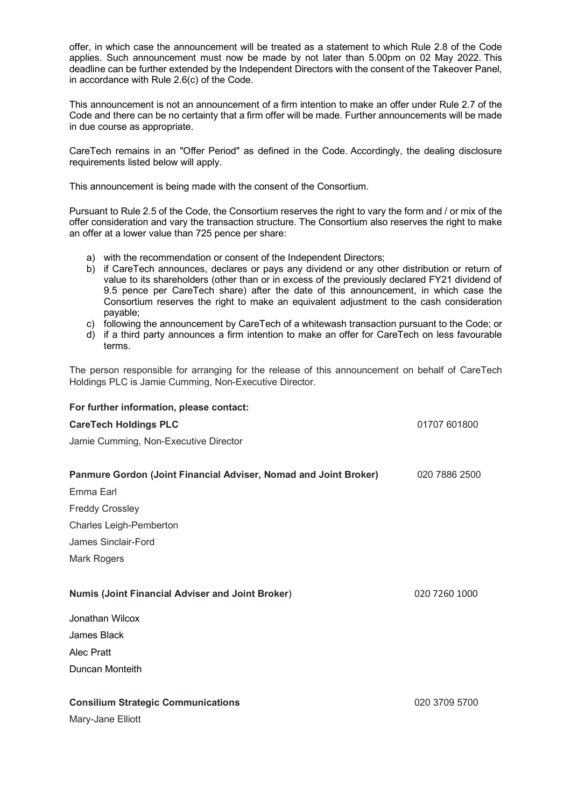offer, in which case the announcement will be treated as a statement to which Rule 2.8 of the Code applies. Such announcement must now be made by not later than 5.00pm on 02 May 2022. This deadline can be further extended by the Independent Directors with the consent of the Takeover Panel, in accordance with Rule 2.6(c) of the Code.

This announcement is not an announcement of a firm intention to make an offer under Rule 2.7 of the Code and there can be no certainty that a firm offer will be made. Further announcements will be made in due course as appropriate.

CareTech remains in an "Offer Period" as defined in the Code. Accordingly, the dealing disclosure requirements listed below will apply.

This announcement is being made with the consent of the Consortium.

Pursuant to Rule 2.5 of the Code, the Consortium reserves the right to vary the form and / or mix of the offer consideration and vary the transaction structure. The Consortium also reserves the right to make an offer at a lower value than 725 pence per share:

- a) with the recommendation or consent of the Independent Directors;
- b) if CareTech announces, declares or pays any dividend or any other distribution or return of value to its shareholders (other than or in excess of the previously declared FY21 dividend of 9.5 pence per CareTech share) after the date of this announcement, in which case the Consortium reserves the right to make an equivalent adjustment to the cash consideration payable;
- c) following the announcement by CareTech of a whitewash transaction pursuant to the Code; or
- d) if a third party announces a firm intention to make an offer for CareTech on less favourable terms.

The person responsible for arranging for the release of this announcement on behalf of CareTech Holdings PLC is Jamie Cumming, Non-Executive Director.

| For further information, please contact:<br><b>CareTech Holdings PLC</b><br>Jamie Cumming, Non-Executive Director | 01707 601800  |                                                                  |               |
|-------------------------------------------------------------------------------------------------------------------|---------------|------------------------------------------------------------------|---------------|
|                                                                                                                   |               | Panmure Gordon (Joint Financial Adviser, Nomad and Joint Broker) | 020 7886 2500 |
|                                                                                                                   |               | Emma Earl                                                        |               |
| <b>Freddy Crossley</b>                                                                                            |               |                                                                  |               |
| Charles Leigh-Pemberton                                                                                           |               |                                                                  |               |
| James Sinclair-Ford<br>Mark Rogers                                                                                |               |                                                                  |               |
|                                                                                                                   |               | <b>Numis (Joint Financial Adviser and Joint Broker)</b>          | 020 7260 1000 |
| Jonathan Wilcox                                                                                                   |               |                                                                  |               |
| James Black                                                                                                       |               |                                                                  |               |
| <b>Alec Pratt</b>                                                                                                 |               |                                                                  |               |
| Duncan Monteith                                                                                                   |               |                                                                  |               |
| <b>Consilium Strategic Communications</b>                                                                         | 020 3709 5700 |                                                                  |               |
| Mary-Jane Elliott                                                                                                 |               |                                                                  |               |
|                                                                                                                   |               |                                                                  |               |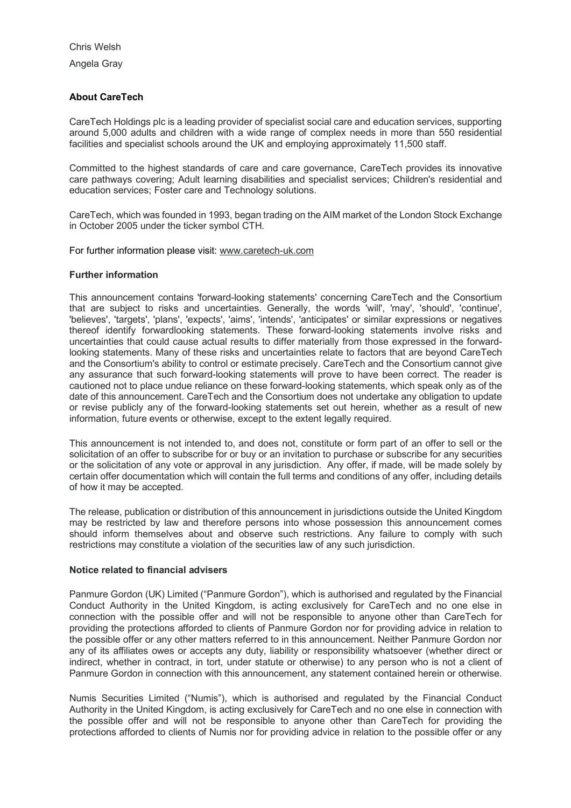Chris Welsh Angela Gray

# **About CareTech**

CareTech Holdings plc is a leading provider of specialist social care and education services, supporting around 5,000 adults and children with a wide range of complex needs in more than 550 residential facilities and specialist schools around the UK and employing approximately 11,500 staff.

Committed to the highest standards of care and care governance, CareTech provides its innovative care pathways covering; Adult learning disabilities and specialist services; Children's residential and education services; Foster care and Technology solutions.

CareTech, which was founded in 1993, began trading on the AIM market of the London Stock Exchange in October 2005 under the ticker symbol CTH.

For further information please visit: www.caretech-uk.com

# **Further information**

This announcement contains 'forward-looking statements' concerning CareTech and the Consortium that are subject to risks and uncertainties. Generally, the words 'will', 'may', 'should', 'continue', 'believes', 'targets', 'plans', 'expects', 'aims', 'intends', 'anticipates' or similar expressions or negatives thereof identify forwardlooking statements. These forward-looking statements involve risks and uncertainties that could cause actual results to differ materially from those expressed in the forwardlooking statements. Many of these risks and uncertainties relate to factors that are beyond CareTech and the Consortium's ability to control or estimate precisely. CareTech and the Consortium cannot give any assurance that such forward-looking statements will prove to have been correct. The reader is cautioned not to place undue reliance on these forward-looking statements, which speak only as of the date of this announcement. CareTech and the Consortium does not undertake any obligation to update or revise publicly any of the forward-looking statements set out herein, whether as a result of new information, future events or otherwise, except to the extent legally required.

This announcement is not intended to, and does not, constitute or form part of an offer to sell or the solicitation of an offer to subscribe for or buy or an invitation to purchase or subscribe for any securities or the solicitation of any vote or approval in any jurisdiction. Any offer, if made, will be made solely by certain offer documentation which will contain the full terms and conditions of any offer, including details of how it may be accepted.

The release, publication or distribution of this announcement in jurisdictions outside the United Kingdom may be restricted by law and therefore persons into whose possession this announcement comes should inform themselves about and observe such restrictions. Any failure to comply with such restrictions may constitute a violation of the securities law of any such jurisdiction.

### **Notice related to financial advisers**

Panmure Gordon (UK) Limited ("Panmure Gordon"), which is authorised and regulated by the Financial Conduct Authority in the United Kingdom, is acting exclusively for CareTech and no one else in connection with the possible offer and will not be responsible to anyone other than CareTech for providing the protections afforded to clients of Panmure Gordon nor for providing advice in relation to the possible offer or any other matters referred to in this announcement. Neither Panmure Gordon nor any of its affiliates owes or accepts any duty, liability or responsibility whatsoever (whether direct or indirect, whether in contract, in tort, under statute or otherwise) to any person who is not a client of Panmure Gordon in connection with this announcement, any statement contained herein or otherwise.

Numis Securities Limited ("Numis"), which is authorised and regulated by the Financial Conduct Authority in the United Kingdom, is acting exclusively for CareTech and no one else in connection with the possible offer and will not be responsible to anyone other than CareTech for providing the protections afforded to clients of Numis nor for providing advice in relation to the possible offer or any